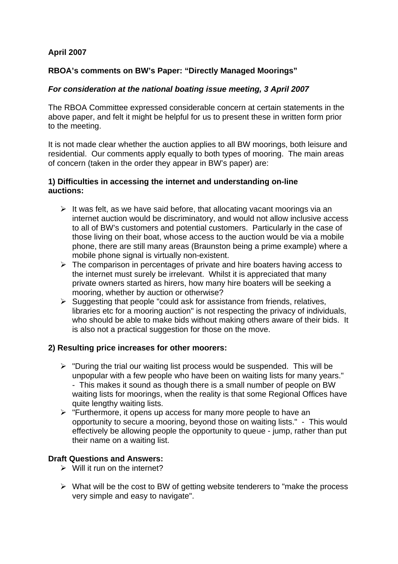# **April 2007**

## **RBOA's comments on BW's Paper: "Directly Managed Moorings"**

## *For consideration at the national boating issue meeting, 3 April 2007*

The RBOA Committee expressed considerable concern at certain statements in the above paper, and felt it might be helpful for us to present these in written form prior to the meeting.

It is not made clear whether the auction applies to all BW moorings, both leisure and residential. Our comments apply equally to both types of mooring. The main areas of concern (taken in the order they appear in BW's paper) are:

### **1) Difficulties in accessing the internet and understanding on-line auctions:**

- $\triangleright$  It was felt, as we have said before, that allocating vacant moorings via an internet auction would be discriminatory, and would not allow inclusive access to all of BW's customers and potential customers. Particularly in the case of those living on their boat, whose access to the auction would be via a mobile phone, there are still many areas (Braunston being a prime example) where a mobile phone signal is virtually non-existent.
- $\triangleright$  The comparison in percentages of private and hire boaters having access to the internet must surely be irrelevant. Whilst it is appreciated that many private owners started as hirers, how many hire boaters will be seeking a mooring, whether by auction or otherwise?
- $\triangleright$  Suggesting that people "could ask for assistance from friends, relatives, libraries etc for a mooring auction" is not respecting the privacy of individuals, who should be able to make bids without making others aware of their bids. It is also not a practical suggestion for those on the move.

### **2) Resulting price increases for other moorers:**

- $\triangleright$  "During the trial our waiting list process would be suspended. This will be unpopular with a few people who have been on waiting lists for many years." - This makes it sound as though there is a small number of people on BW waiting lists for moorings, when the reality is that some Regional Offices have quite lengthy waiting lists.
- $\triangleright$  "Furthermore, it opens up access for many more people to have an opportunity to secure a mooring, beyond those on waiting lists." - This would effectively be allowing people the opportunity to queue - jump, rather than put their name on a waiting list.

### **Draft Questions and Answers:**

- $\triangleright$  Will it run on the internet?
- $\triangleright$  What will be the cost to BW of getting website tenderers to "make the process" very simple and easy to navigate".